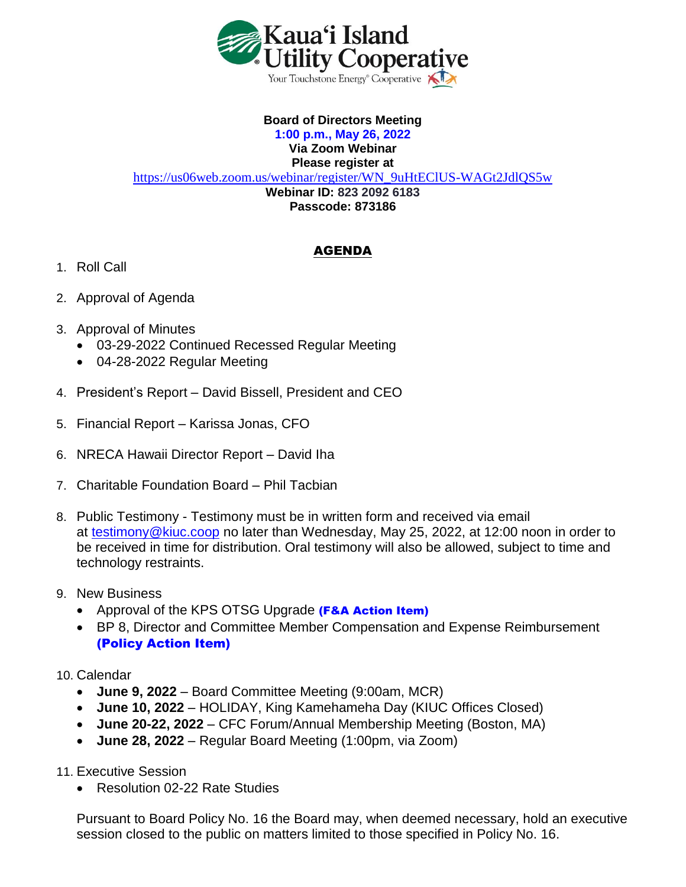

## **Board of Directors Meeting 1:00 p.m., May 26, 2022 Via Zoom Webinar Please register at**

[https://us06web.zoom.us/webinar/register/WN\\_9uHtEClUS-WAGt2JdlQS5w](https://us06web.zoom.us/webinar/register/WN_9uHtEClUS-WAGt2JdlQS5w) **Webinar ID: 823 2092 6183**

**Passcode: 873186**

## AGENDA

- 1. Roll Call
- 2. Approval of Agenda
- 3. Approval of Minutes
	- 03-29-2022 Continued Recessed Regular Meeting
	- 04-28-2022 Regular Meeting
- 4. President's Report David Bissell, President and CEO
- 5. Financial Report Karissa Jonas, CFO
- 6. NRECA Hawaii Director Report David Iha
- 7. Charitable Foundation Board Phil Tacbian
- 8. Public Testimony Testimony must be in written form and received via email at [testimony@kiuc.coop](mailto:testimony@kiuc.coop) no later than Wednesday, May 25, 2022, at 12:00 noon in order to be received in time for distribution. Oral testimony will also be allowed, subject to time and technology restraints.
- 9. New Business
	- Approval of the KPS OTSG Upgrade (F&A Action Item)
	- BP 8, Director and Committee Member Compensation and Expense Reimbursement (Policy Action Item)
- 10. Calendar
	- **June 9, 2022** Board Committee Meeting (9:00am, MCR)
	- **June 10, 2022** HOLIDAY, King Kamehameha Day (KIUC Offices Closed)
	- **June 20-22, 2022** CFC Forum/Annual Membership Meeting (Boston, MA)
	- **June 28, 2022** Regular Board Meeting (1:00pm, via Zoom)
- 11. Executive Session
	- Resolution 02-22 Rate Studies

Pursuant to Board Policy No. 16 the Board may, when deemed necessary, hold an executive session closed to the public on matters limited to those specified in Policy No. 16.